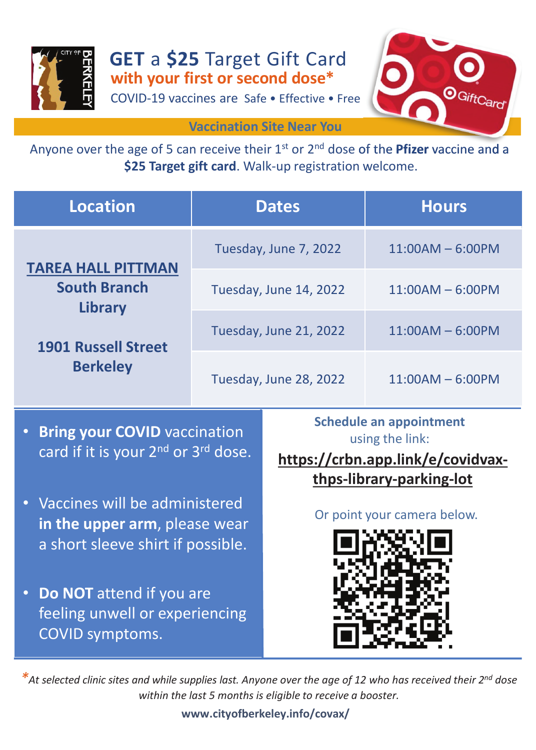

COVID-19 vaccines are Safe • Effective • Free **GET** a **\$25** Target Gift Card



**Vaccination Site Near You**

**\$25 Target gift card**. Walk-up registration welcome.

| <b>Location</b>                                                                                              | <b>Dates</b>           | <b>Hours</b>       |
|--------------------------------------------------------------------------------------------------------------|------------------------|--------------------|
| <b>TAREA HALL PITTMAN</b><br><b>South Branch</b><br>Library<br><b>1901 Russell Street</b><br><b>Berkeley</b> | Tuesday, June 7, 2022  | $11:00AM - 6:00PM$ |
|                                                                                                              | Tuesday, June 14, 2022 | $11:00AM - 6:00PM$ |
|                                                                                                              | Tuesday, June 21, 2022 | $11:00AM - 6:00PM$ |
|                                                                                                              | Tuesday, June 28, 2022 | $11:00AM - 6:00PM$ |

- **Bring your COVID** vaccination card if it is your 2<sup>nd</sup> or 3<sup>rd</sup> dose.
- Vaccines will be administered **in the upper arm**, please wear a short sleeve shirt if possible.
- **Do NOT** attend if you are feeling unwell or experiencing COVID symptoms.

**Schedule an appointment**  using the link:

**https://crbn.app.link/e/covidvaxthps-library-parking-lot**

Or point your camera below.



*\*At selected clinic sites and while supplies last. Anyone over the age of 12 who has received their 2nd dose within the last 5 months is eligible to receive a booster.*

## **www.cityofberkeley.info/covax/**